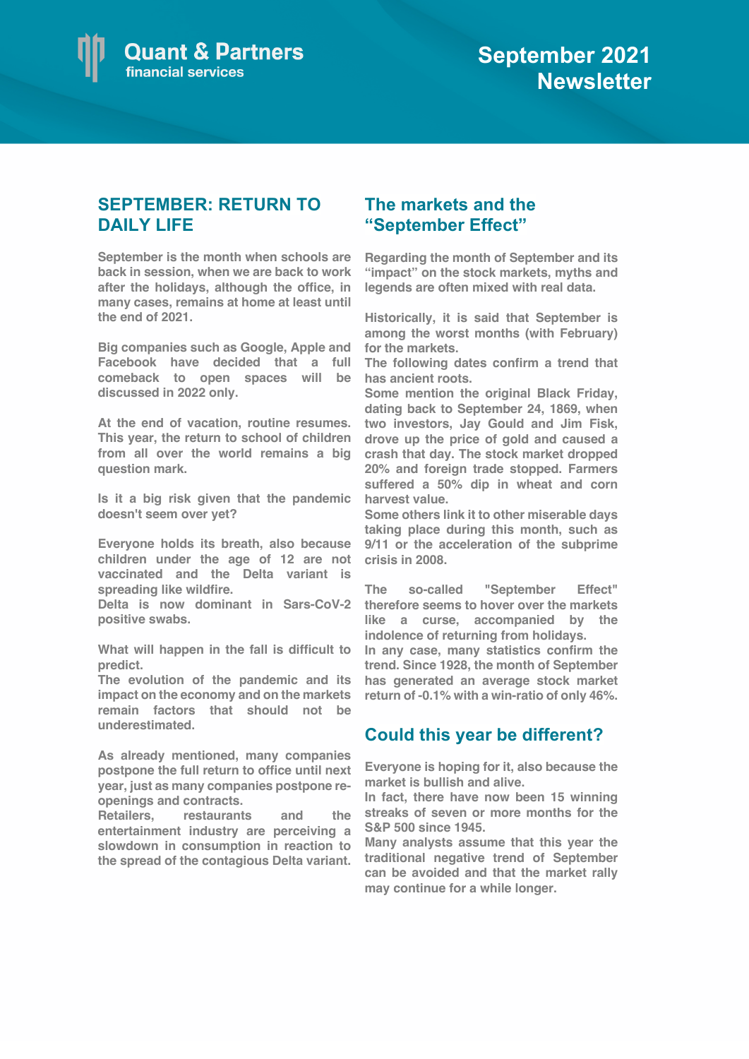

## **SEPTEMBER: RETURN TO DAILY LIFE**

**September is the month when schools are back in session, when we are back to work after the holidays, although the office, in many cases, remains at home at least until the end of 2021.** 

**Big companies such as Google, Apple and Facebook have decided that a full comeback to open spaces will be discussed in 2022 only.**

**At the end of vacation, routine resumes. This year, the return to school of children from all over the world remains a big question mark.** 

**Is it a big risk given that the pandemic doesn't seem over yet?** 

**Everyone holds its breath, also because children under the age of 12 are not vaccinated and the Delta variant is spreading like wildfire.** 

**Delta is now dominant in Sars-CoV-2 positive swabs.**

**What will happen in the fall is difficult to predict.** 

**The evolution of the pandemic and its impact on the economy and on the markets remain factors that should not be underestimated.**

**As already mentioned, many companies postpone the full return to office until next year, just as many companies postpone reopenings and contracts.** 

**Retailers, restaurants and the entertainment industry are perceiving a slowdown in consumption in reaction to the spread of the contagious Delta variant.**

## **The markets and the "September Effect"**

**Regarding the month of September and its "impact" on the stock markets, myths and legends are often mixed with real data.**

**Historically, it is said that September is among the worst months (with February) for the markets.**

**The following dates confirm a trend that has ancient roots.**

**Some mention the original Black Friday, dating back to September 24, 1869, when two investors, Jay Gould and Jim Fisk, drove up the price of gold and caused a crash that day. The stock market dropped 20% and foreign trade stopped. Farmers suffered a 50% dip in wheat and corn harvest value.** 

**Some others link it to other miserable days taking place during this month, such as 9/11 or the acceleration of the subprime crisis in 2008.** 

**The so-called "September Effect" therefore seems to hover over the markets like a curse, accompanied by the indolence of returning from holidays.** 

**In any case, many statistics confirm the trend. Since 1928, the month of September has generated an average stock market return of -0.1% with a win-ratio of only 46%.**

## **Could this year be different?**

**Everyone is hoping for it, also because the market is bullish and alive.** 

**In fact, there have now been 15 winning streaks of seven or more months for the S&P 500 since 1945.** 

**Many analysts assume that this year the traditional negative trend of September can be avoided and that the market rally may continue for a while longer.**